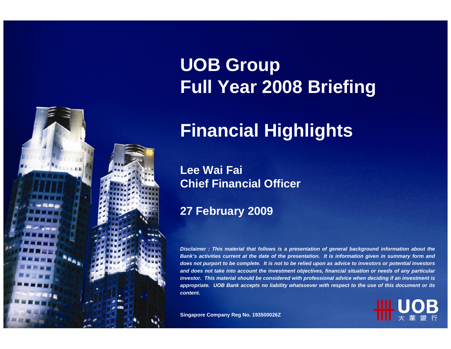

# **UOB Group Full Year 2008 Briefing**

# **Financial Highlights**

#### **Lee Wai Fai Chief Financial Officer**

#### **27 February 2009**

*Disclaimer : This material that follows is a presentation of general background information about the Bank's activities current at the date of the presentation. It is information given in summary form and does not purport to be complete. It is not to be relied upon as advice to investors or potential investors and does not take into account the investment objectives, financial situation or needs of any particular investor. This material should be considered with professional advice when deciding if an investment is appropriate. UOB Bank accepts no liability whatsoever with respect to the use of this document or its content.*

**Singapore Company Reg No. 193500026Z**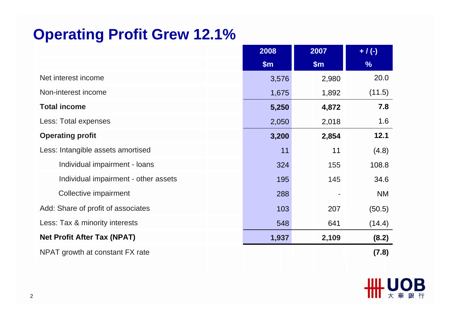#### **Operating Profit Grew 12.1%**

|                                      | 2008  | 2007  | $+ / (-)$     |
|--------------------------------------|-------|-------|---------------|
|                                      | \$m\$ | \$m\$ | $\frac{9}{6}$ |
| Net interest income                  | 3,576 | 2,980 | 20.0          |
| Non-interest income                  | 1,675 | 1,892 | (11.5)        |
| <b>Total income</b>                  | 5,250 | 4,872 | 7.8           |
| Less: Total expenses                 | 2,050 | 2,018 | 1.6           |
| <b>Operating profit</b>              | 3,200 | 2,854 | 12.1          |
| Less: Intangible assets amortised    | 11    | 11    | (4.8)         |
| Individual impairment - loans        | 324   | 155   | 108.8         |
| Individual impairment - other assets | 195   | 145   | 34.6          |
| Collective impairment                | 288   |       | <b>NM</b>     |
| Add: Share of profit of associates   | 103   | 207   | (50.5)        |
| Less: Tax & minority interests       | 548   | 641   | (14.4)        |
| <b>Net Profit After Tax (NPAT)</b>   | 1,937 | 2,109 | (8.2)         |
| NPAT growth at constant FX rate      |       |       | (7.8)         |

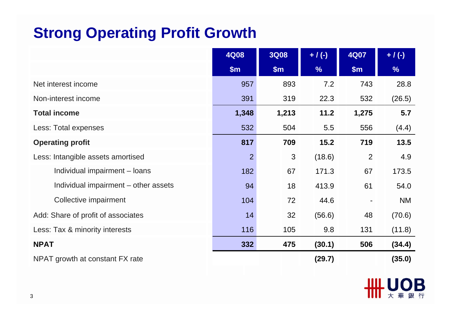### **Strong Operating Profit Growth**

|                                      | <b>4Q08</b>    | <b>3Q08</b> | $+ / (-)$ | <b>4Q07</b>    | $+ / (-)$ |
|--------------------------------------|----------------|-------------|-----------|----------------|-----------|
|                                      | \$m\$          | \$m\$       | %         | \$m\$          | %         |
| Net interest income                  | 957            | 893         | 7.2       | 743            | 28.8      |
| Non-interest income                  | 391            | 319         | 22.3      | 532            | (26.5)    |
| <b>Total income</b>                  | 1,348          | 1,213       | 11.2      | 1,275          | 5.7       |
| Less: Total expenses                 | 532            | 504         | 5.5       | 556            | (4.4)     |
| <b>Operating profit</b>              | 817            | 709         | 15.2      | 719            | 13.5      |
| Less: Intangible assets amortised    | $\overline{2}$ | 3           | (18.6)    | 2              | 4.9       |
| Individual impairment – loans        | 182            | 67          | 171.3     | 67             | 173.5     |
| Individual impairment – other assets | 94             | 18          | 413.9     | 61             | 54.0      |
| Collective impairment                | 104            | 72          | 44.6      | $\blacksquare$ | <b>NM</b> |
| Add: Share of profit of associates   | 14             | 32          | (56.6)    | 48             | (70.6)    |
| Less: Tax & minority interests       | 116            | 105         | 9.8       | 131            | (11.8)    |
| <b>NPAT</b>                          | 332            | 475         | (30.1)    | 506            | (34.4)    |
| NPAT growth at constant FX rate      |                |             | (29.7)    |                | (35.0)    |

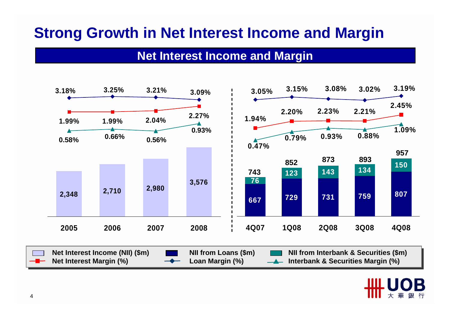# **Strong Growth in Net Interest Income and Margin**

#### **Net Interest Income and Margin**



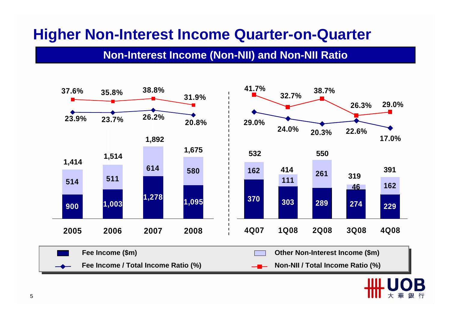#### **Higher Non-Interest Income Quarter-on-Quarter**

#### **Non-Interest Income (Non-NII) and Non-NII Ratio**

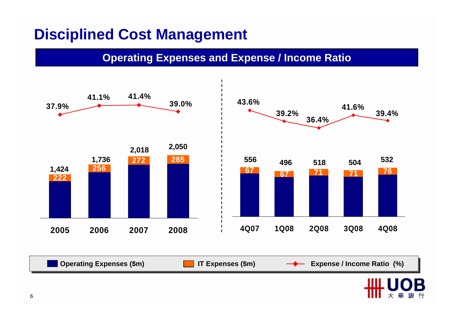### **Disciplined Cost Management**

**Operating Expenses and Expense / Income Ratio** 

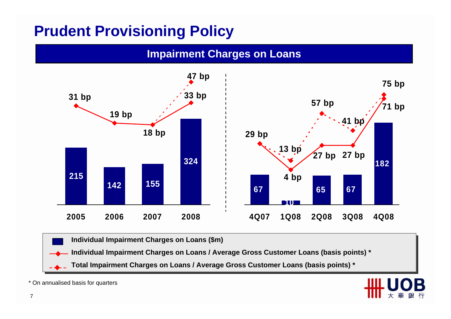## **Prudent Provisioning Policy**



**Individual Impairment Charges on Loans (\$m) Individual Impairment Charges on Loans (\$m)** 

**Individual Impairment Charges on Loans / Average Gross Customer Loans (basis points) \* Individual Impairment Charges on Loans / Average Gross Customer Loans (basis points) \***

**Total Impairment Charges on Loans / Average Gross Customer Loans (basis points) \* Total Impairment Charges on Loans / Average Gross Customer Loans (basis points) \***

\* On annualised basis for quarters

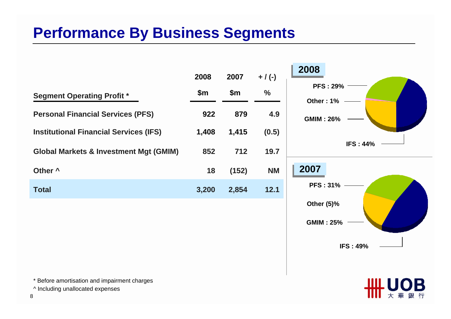# **Performance By Business Segments**

|                                                   | 2008  | 2007          | $+ / (-)$     |
|---------------------------------------------------|-------|---------------|---------------|
| <b>Segment Operating Profit *</b>                 | \$m   | $\mathsf{Sm}$ | $\frac{0}{0}$ |
| <b>Personal Financial Services (PFS)</b>          | 922   | 879           | 4.9           |
| <b>Institutional Financial Services (IFS)</b>     | 1,408 | 1,415         | (0.5)         |
| <b>Global Markets &amp; Investment Mgt (GMIM)</b> | 852   | 712           | 19.7          |
| Other ^                                           | 18    | (152)         | <b>NM</b>     |
| Total                                             | 3,200 | 2,854         | 12.1          |



\* Before amortisation and impairment charges

^ Including unallocated expenses

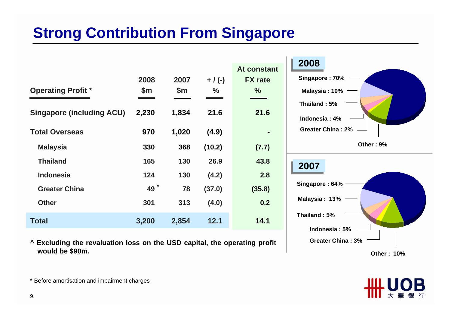# **Strong Contribution From Singapore**

| <b>Operating Profit *</b><br><b>Singapore (including ACU)</b><br><b>Total Overseas</b> | 2008<br>\$m<br>2,230<br>970 | 2007<br>\$m\$<br>1,834<br>1,020 | $+$ / (-)<br>%<br>21.6<br>(4.9) | At constant<br><b>FX</b> rate<br>%<br>21.6 | 2008<br>Singapore: 70%<br>Malaysia: 10%<br>Thailand: 5%<br>Indonesia: 4%<br><b>Greater China: 2%</b> |
|----------------------------------------------------------------------------------------|-----------------------------|---------------------------------|---------------------------------|--------------------------------------------|------------------------------------------------------------------------------------------------------|
| <b>Malaysia</b>                                                                        | 330                         | 368                             | (10.2)                          | (7.7)                                      | Other: 9%                                                                                            |
| <b>Thailand</b>                                                                        | 165                         | 130                             | 26.9                            | 43.8                                       | 2007                                                                                                 |
| <b>Indonesia</b>                                                                       | 124                         | 130                             | (4.2)                           | 2.8                                        |                                                                                                      |
| <b>Greater China</b>                                                                   | 49 ^                        | 78                              | (37.0)                          | (35.8)                                     | Singapore: 64%                                                                                       |
| <b>Other</b>                                                                           | 301                         | 313                             | (4.0)                           | 0.2                                        | Malaysia: 13%                                                                                        |
| <b>Total</b>                                                                           | 3,200                       | 2,854                           | 12.1                            | 14.1                                       | Thailand: 5%<br>Indonesia: 5%                                                                        |

**^ Excluding the revaluation loss on the USD capital, the operating profit would be \$90m.** 

**Other : 10%**

**Greater China : 3%**



\* Before amortisation and impairment charges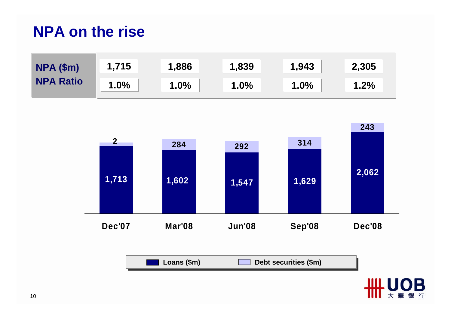#### **NPA on the rise**



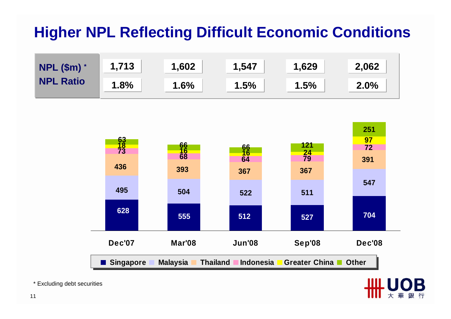# **Higher NPL Reflecting Difficult Economic Conditions**





\* Excluding debt securities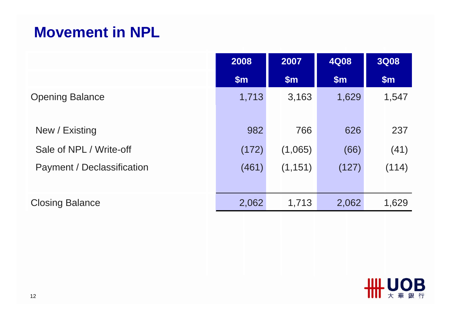#### **Movement in NPL**

|                            | 2008  | 2007     | <b>4Q08</b> | <b>3Q08</b>   |
|----------------------------|-------|----------|-------------|---------------|
|                            | \$m\$ | \$m\$    | \$m\$       | $\mathsf{Sm}$ |
| <b>Opening Balance</b>     | 1,713 | 3,163    | 1,629       | 1,547         |
| New / Existing             | 982   | 766      | 626         | 237           |
| Sale of NPL / Write-off    | (172) | (1,065)  | (66)        | (41)          |
| Payment / Declassification | (461) | (1, 151) | (127)       | (114)         |
| <b>Closing Balance</b>     | 2,062 | 1,713    | 2,062       | 1,629         |

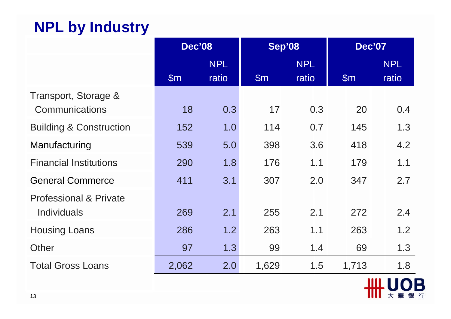# **NPL by Industry**

|                                                         | <b>Dec'08</b> |            | <b>Sep'08</b> |            | <b>Dec'07</b> |            |  |
|---------------------------------------------------------|---------------|------------|---------------|------------|---------------|------------|--|
|                                                         |               | <b>NPL</b> |               | <b>NPL</b> |               | <b>NPL</b> |  |
|                                                         | $\mathsf{Sm}$ | ratio      | $\mathsf{Sm}$ | ratio      | $\mathsf{Sm}$ | ratio      |  |
| Transport, Storage &<br>Communications                  | 18            | 0.3        | 17            | 0.3        | 20            | 0.4        |  |
| <b>Building &amp; Construction</b>                      | 152           | 1.0        | 114           | 0.7        | 145           | 1.3        |  |
| Manufacturing                                           | 539           | 5.0        | 398           | 3.6        | 418           | 4.2        |  |
| <b>Financial Institutions</b>                           | 290           | 1.8        | 176           | 1.1        | 179           | 1.1        |  |
| <b>General Commerce</b>                                 | 411           | 3.1        | 307           | 2.0        | 347           | 2.7        |  |
| <b>Professional &amp; Private</b><br><b>Individuals</b> | 269           | 2.1        | 255           | 2.1        | 272           | 2.4        |  |
| <b>Housing Loans</b>                                    | 286           | 1.2        | 263           | 1.1        | 263           | 1.2        |  |
| Other                                                   | 97            | 1.3        | 99            | 1.4        | 69            | 1.3        |  |
| <b>Total Gross Loans</b>                                | 2,062         | 2.0        | 1,629         | 1.5        | 1,713         | 1.8        |  |
|                                                         |               |            |               |            |               |            |  |

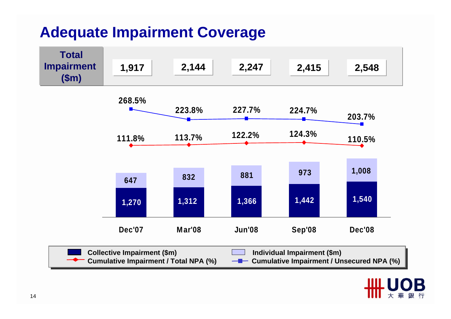#### **Adequate Impairment Coverage**

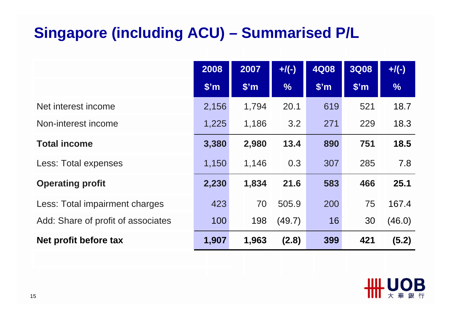# **Singapore (including ACU) – Summarised P/L**

|                                    | 2008         | 2007              | $+/(-)$       | <b>4Q08</b>     | <b>3Q08</b>       | $+$ /(-)      |
|------------------------------------|--------------|-------------------|---------------|-----------------|-------------------|---------------|
|                                    | $\sqrt{\$m}$ | \$ <sup>'</sup> m | $\frac{0}{6}$ | $\mathsf{S}'$ m | \$ <sup>'</sup> m | $\frac{0}{6}$ |
| Net interest income                | 2,156        | 1,794             | 20.1          | 619             | 521               | 18.7          |
| Non-interest income                | 1,225        | 1,186             | 3.2           | 271             | 229               | 18.3          |
| <b>Total income</b>                | 3,380        | 2,980             | 13.4          | 890             | 751               | 18.5          |
| Less: Total expenses               | 1,150        | 1,146             | 0.3           | 307             | 285               | 7.8           |
| <b>Operating profit</b>            | 2,230        | 1,834             | 21.6          | 583             | 466               | 25.1          |
| Less: Total impairment charges     | 423          | 70                | 505.9         | 200             | 75                | 167.4         |
| Add: Share of profit of associates | 100          | 198               | (49.7)        | 16              | 30                | (46.0)        |
| Net profit before tax              | 1,907        | 1,963             | (2.8)         | 399             | 421               | (5.2)         |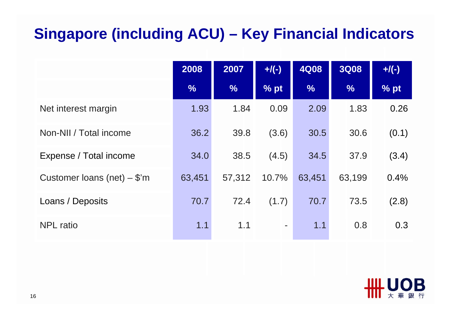# **Singapore (including ACU) – Key Financial Indicators**

|                               | 2008          | 2007   | $+/(-)$        | <b>4Q08</b>   | <b>3Q08</b>   | $+$ /(-) |
|-------------------------------|---------------|--------|----------------|---------------|---------------|----------|
|                               | $\frac{0}{6}$ | $\%$   | % pt           | $\frac{0}{6}$ | $\frac{9}{6}$ | % pt     |
| Net interest margin           | 1.93          | 1.84   | 0.09           | 2.09          | 1.83          | 0.26     |
| Non-NII / Total income        | 36.2          | 39.8   | (3.6)          | 30.5          | 30.6          | (0.1)    |
| Expense / Total income        | 34.0          | 38.5   | (4.5)          | 34.5          | 37.9          | (3.4)    |
| Customer loans (net) $-$ \$'m | 63,451        | 57,312 | 10.7%          | 63,451        | 63,199        | 0.4%     |
| Loans / Deposits              | 70.7          | 72.4   | (1.7)          | 70.7          | 73.5          | (2.8)    |
| <b>NPL</b> ratio              | 1.1           | 1.1    | $\blacksquare$ | 1.1           | 0.8           | 0.3      |

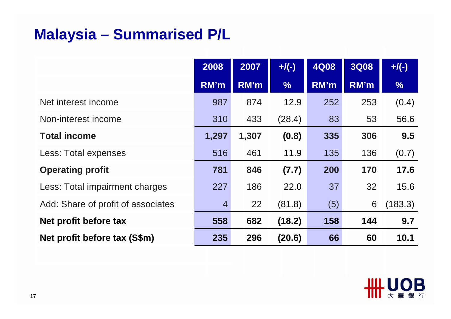# **Malaysia – Summarised P/L**

|                                    | 2008           | 2007  | $+$ /(-)      | <b>4Q08</b> | <b>3Q08</b> | $+$ /(-)      |
|------------------------------------|----------------|-------|---------------|-------------|-------------|---------------|
|                                    | RM'm           | RM'm  | $\frac{9}{6}$ | RM'm        | RM'm        | $\frac{0}{6}$ |
| Net interest income                | 987            | 874   | 12.9          | 252         | 253         | (0.4)         |
| Non-interest income                | 310            | 433   | (28.4)        | 83          | 53          | 56.6          |
| <b>Total income</b>                | 1,297          | 1,307 | (0.8)         | 335         | 306         | 9.5           |
| Less: Total expenses               | 516            | 461   | 11.9          | 135         | 136         | (0.7)         |
| <b>Operating profit</b>            | 781            | 846   | (7.7)         | 200         | 170         | 17.6          |
| Less: Total impairment charges     | 227            | 186   | 22.0          | 37          | 32          | 15.6          |
| Add: Share of profit of associates | $\overline{4}$ | 22    | (81.8)        | (5)         | 6           | (183.3)       |
| Net profit before tax              | 558            | 682   | (18.2)        | 158         | 144         | 9.7           |
| Net profit before tax (S\$m)       | 235            | 296   | (20.6)        | 66          | 60          | 10.1          |

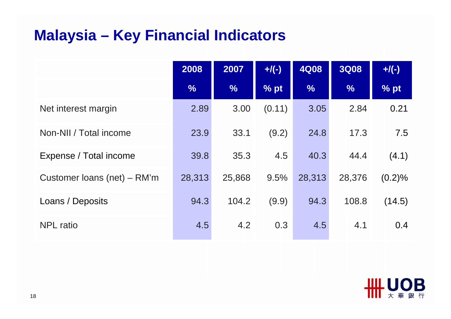# **Malaysia – Key Financial Indicators**

|                               | 2008          | 2007          | $+$ /(-) | <b>4Q08</b>   | <b>3Q08</b>   | $+$ /(-) |
|-------------------------------|---------------|---------------|----------|---------------|---------------|----------|
|                               | $\frac{0}{6}$ | $\frac{9}{6}$ | % pt     | $\frac{9}{6}$ | $\frac{9}{6}$ | % pt     |
| Net interest margin           | 2.89          | 3.00          | (0.11)   | 3.05          | 2.84          | 0.21     |
| Non-NII / Total income        | 23.9          | 33.1          | (9.2)    | 24.8          | 17.3          | 7.5      |
| Expense / Total income        | 39.8          | 35.3          | 4.5      | 40.3          | 44.4          | (4.1)    |
| Customer loans (net) $-$ RM'm | 28,313        | 25,868        | 9.5%     | 28,313        | 28,376        | (0.2)%   |
| Loans / Deposits              | 94.3          | 104.2         | (9.9)    | 94.3          | 108.8         | (14.5)   |
| <b>NPL</b> ratio              | 4.5           | 4.2           | 0.3      | 4.5           | 4.1           | 0.4      |

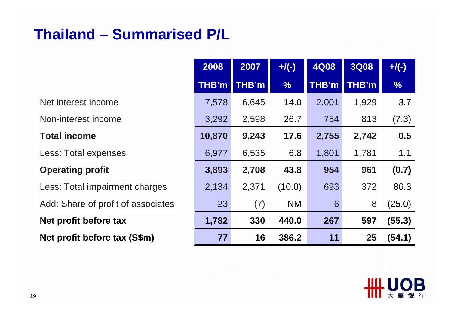# **Thailand – Summarised P/L**

|                                    | 2008         | 2007  | $+$ /(-)      | <b>4Q08</b> | <b>3Q08</b> | $+$ /(-)      |
|------------------------------------|--------------|-------|---------------|-------------|-------------|---------------|
|                                    | <b>THB'm</b> | THB'm | $\frac{0}{0}$ | THB'm       | THB'm       | $\frac{0}{0}$ |
| Net interest income                | 7,578        | 6,645 | 14.0          | 2,001       | 1,929       | 3.7           |
| Non-interest income                | 3,292        | 2,598 | 26.7          | 754         | 813         | (7.3)         |
| <b>Total income</b>                | 10,870       | 9,243 | 17.6          | 2,755       | 2,742       | 0.5           |
| Less: Total expenses               | 6,977        | 6,535 | 6.8           | 1,801       | 1,781       | 1.1           |
| <b>Operating profit</b>            | 3,893        | 2,708 | 43.8          | 954         | 961         | (0.7)         |
| Less: Total impairment charges     | 2,134        | 2,371 | (10.0)        | 693         | 372         | 86.3          |
| Add: Share of profit of associates | 23           | (7)   | <b>NM</b>     | 6           | 8           | (25.0)        |
| Net profit before tax              | 1,782        | 330   | 440.0         | 267         | 597         | (55.3)        |
| Net profit before tax (S\$m)       | 77           | 16    | 386.2         | 11          | 25          | (54.1)        |

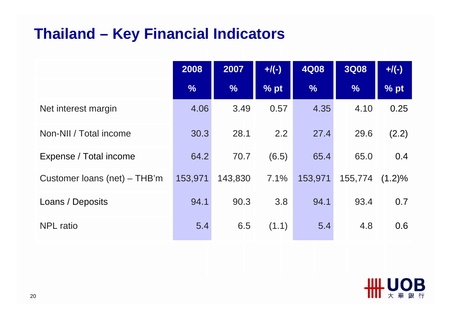### **Thailand – Key Financial Indicators**

|                              | 2008          | 2007          | $+$ /(-) | <b>4Q08</b>   | <b>3Q08</b>   | $+$ /(-)  |
|------------------------------|---------------|---------------|----------|---------------|---------------|-----------|
|                              | $\frac{0}{6}$ | $\frac{1}{2}$ | % pt     | $\frac{9}{6}$ | $\frac{9}{6}$ | % pt      |
| Net interest margin          | 4.06          | 3.49          | 0.57     | 4.35          | 4.10          | 0.25      |
| Non-NII / Total income       | 30.3          | 28.1          | 2.2      | 27.4          | 29.6          | (2.2)     |
| Expense / Total income       | 64.2          | 70.7          | (6.5)    | 65.4          | 65.0          | 0.4       |
| Customer loans (net) – THB'm | 153,971       | 143,830       | 7.1%     | 153,971       | 155,774       | $(1.2)\%$ |
| Loans / Deposits             | 94.1          | 90.3          | 3.8      | 94.1          | 93.4          | 0.7       |
| <b>NPL</b> ratio             | 5.4           | 6.5           | (1.1)    | 5.4           | 4.8           | 0.6       |

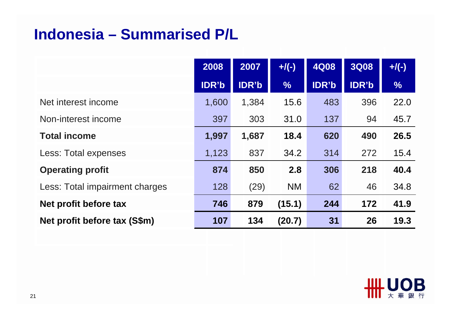#### **Indonesia – Summarised P/L**

|                                | 2008         | 2007         | $+$ /(-)      | <b>4Q08</b> | <b>3Q08</b> | $+/(-)$       |
|--------------------------------|--------------|--------------|---------------|-------------|-------------|---------------|
|                                | <b>IDR'b</b> | <b>IDR'b</b> | $\frac{0}{6}$ | IDR'b       | IDR'b       | $\frac{9}{6}$ |
| Net interest income            | 1,600        | 1,384        | 15.6          | 483         | 396         | 22.0          |
| Non-interest income            | 397          | 303          | 31.0          | 137         | 94          | 45.7          |
| <b>Total income</b>            | 1,997        | 1,687        | 18.4          | 620         | 490         | 26.5          |
| Less: Total expenses           | 1,123        | 837          | 34.2          | 314         | 272         | 15.4          |
| <b>Operating profit</b>        | 874          | 850          | 2.8           | 306         | 218         | 40.4          |
| Less: Total impairment charges | 128          | (29)         | <b>NM</b>     | 62          | 46          | 34.8          |
| Net profit before tax          | 746          | 879          | (15.1)        | 244         | 172         | 41.9          |
| Net profit before tax (S\$m)   | 107          | 134          | (20.7)        | 31          | 26          | 19.3          |

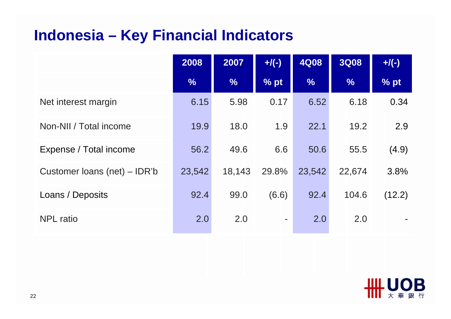### **Indonesia – Key Financial Indicators**

|                              | 2008          | 2007          | $+$ /(-) | <b>4Q08</b>   | <b>3Q08</b>   | $+$ /(-) |
|------------------------------|---------------|---------------|----------|---------------|---------------|----------|
|                              | $\frac{0}{6}$ | $\frac{9}{6}$ | % pt     | $\frac{0}{6}$ | $\frac{9}{6}$ | % pt     |
| Net interest margin          | 6.15          | 5.98          | 0.17     | 6.52          | 6.18          | 0.34     |
| Non-NII / Total income       | 19.9          | 18.0          | 1.9      | 22.1          | 19.2          | 2.9      |
| Expense / Total income       | 56.2          | 49.6          | 6.6      | 50.6          | 55.5          | (4.9)    |
| Customer Ioans (net) – IDR'b | 23,542        | 18,143        | 29.8%    | 23,542        | 22,674        | 3.8%     |
| Loans / Deposits             | 92.4          | 99.0          | (6.6)    | 92.4          | 104.6         | (12.2)   |
| <b>NPL</b> ratio             | 2.0           | 2.0           | ۰        | 2.0           | 2.0           |          |

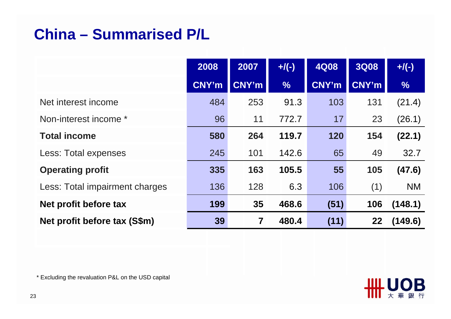# **China – Summarised P/L**

|                                | 2008         | 2007         | $+/(-)$       | <b>4Q08</b>  | <b>3Q08</b>  | $+$ /(-)      |
|--------------------------------|--------------|--------------|---------------|--------------|--------------|---------------|
|                                | <b>CNY'm</b> | <b>CNY'm</b> | $\frac{0}{6}$ | <b>CNY'm</b> | <b>CNY'm</b> | $\frac{0}{6}$ |
| Net interest income            | 484          | 253          | 91.3          | 103          | 131          | (21.4)        |
| Non-interest income *          | 96           | 11           | 772.7         | 17           | 23           | (26.1)        |
| <b>Total income</b>            | 580          | 264          | 119.7         | 120          | 154          | (22.1)        |
| Less: Total expenses           | 245          | 101          | 142.6         | 65           | 49           | 32.7          |
| <b>Operating profit</b>        | 335          | 163          | 105.5         | 55           | 105          | (47.6)        |
| Less: Total impairment charges | 136          | 128          | 6.3           | 106          | (1)          | <b>NM</b>     |
| Net profit before tax          | 199          | 35           | 468.6         | (51)         | 106          | (148.1)       |
| Net profit before tax (S\$m)   | 39           | 7            | 480.4         | (11)         | 22           | (149.6)       |

\* Excluding the revaluation P&L on the USD capital

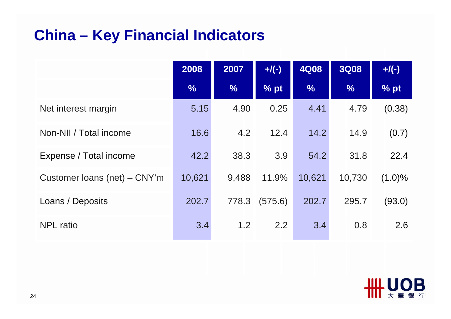### **China – Key Financial Indicators**

|                              | 2008          | 2007          | $+$ /(-) | <b>4Q08</b>   | <b>3Q08</b>   | $+$ /(-)  |
|------------------------------|---------------|---------------|----------|---------------|---------------|-----------|
|                              | $\frac{9}{6}$ | $\frac{0}{6}$ | % pt     | $\frac{9}{6}$ | $\frac{0}{6}$ | % pt      |
| Net interest margin          | 5.15          | 4.90          | 0.25     | 4.41          | 4.79          | (0.38)    |
| Non-NII / Total income       | 16.6          | 4.2           | 12.4     | 14.2          | 14.9          | (0.7)     |
| Expense / Total income       | 42.2          | 38.3          | 3.9      | 54.2          | 31.8          | 22.4      |
| Customer loans (net) – CNY'm | 10,621        | 9,488         | 11.9%    | 10,621        | 10,730        | $(1.0)\%$ |
| Loans / Deposits             | 202.7         | 778.3         | (575.6)  | 202.7         | 295.7         | (93.0)    |
| <b>NPL</b> ratio             | 3.4           | 1.2           | 2.2      | 3.4           | 0.8           | 2.6       |

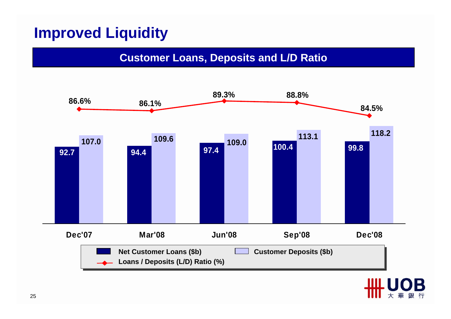# **Improved Liquidity**

#### **Customer Loans, Deposits and L/D Ratio**

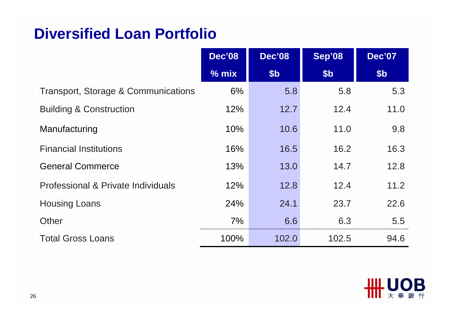#### **Diversified Loan Portfolio**

|                                                | <b>Dec'08</b> | <b>Dec'08</b> | Sep'08 | <b>Dec'07</b>   |
|------------------------------------------------|---------------|---------------|--------|-----------------|
|                                                | $%$ mix       | \$b           | \$b    | \$ <sub>b</sub> |
| <b>Transport, Storage &amp; Communications</b> | 6%            | 5.8           | 5.8    | 5.3             |
| <b>Building &amp; Construction</b>             | 12%           | 12.7          | 12.4   | 11.0            |
| Manufacturing                                  | $10\%$        | 10.6          | 11.0   | 9.8             |
| <b>Financial Institutions</b>                  | 16%           | 16.5          | 16.2   | 16.3            |
| <b>General Commerce</b>                        | 13%           | 13.0          | 14.7   | 12.8            |
| Professional & Private Individuals             | 12%           | 12.8          | 12.4   | 11.2            |
| <b>Housing Loans</b>                           | 24%           | 24.1          | 23.7   | 22.6            |
| Other                                          | 7%            | 6.6           | 6.3    | 5.5             |
| <b>Total Gross Loans</b>                       | 100%          | 102.0         | 102.5  | 94.6            |

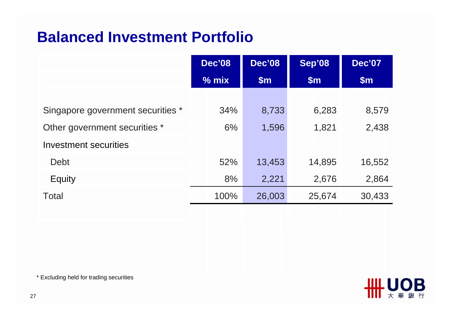#### **Balanced Investment Portfolio**

|                                   | <b>Dec'08</b> | <b>Dec'08</b> | Sep'08 | <b>Dec'07</b> |
|-----------------------------------|---------------|---------------|--------|---------------|
|                                   | $%$ mix       | $\mathsf{Sm}$ | \$m\$  | \$m\$         |
|                                   |               |               |        |               |
| Singapore government securities * | 34%           | 8,733         | 6,283  | 8,579         |
| Other government securities *     | 6%            | 1,596         | 1,821  | 2,438         |
| Investment securities             |               |               |        |               |
| <b>Debt</b>                       | 52%           | 13,453        | 14,895 | 16,552        |
| Equity                            | 8%            | 2,221         | 2,676  | 2,864         |
| Total                             | 100%          | 26,003        | 25,674 | 30,433        |

\* Excluding held for trading securities

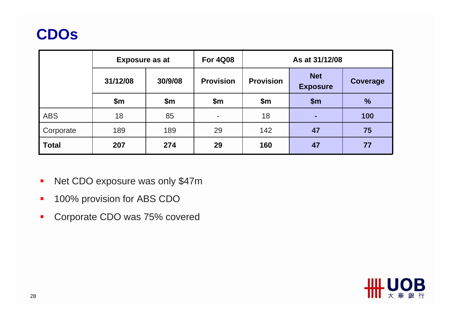# **CDOs**

|              | <b>Exposure as at</b> |         | <b>For 4Q08</b>  |                  | As at 31/12/08                |                 |
|--------------|-----------------------|---------|------------------|------------------|-------------------------------|-----------------|
|              | 31/12/08              | 30/9/08 | <b>Provision</b> | <b>Provision</b> | <b>Net</b><br><b>Exposure</b> | <b>Coverage</b> |
|              | \$m\$                 | \$m     | \$m\$            | \$m\$            | $\mathsf{Sm}$                 | $\frac{1}{2}$   |
| <b>ABS</b>   | 18                    | 85      | ٠                | 18               | н                             | 100             |
| Corporate    | 189                   | 189     | 29               | 142              | 47                            | 75              |
| <b>Total</b> | 207                   | 274     | 29               | 160              | 47                            | 77              |

- $\blacksquare$ Net CDO exposure was only \$47m
- $\blacksquare$ 100% provision for ABS CDO
- $\blacksquare$ Corporate CDO was 75% covered

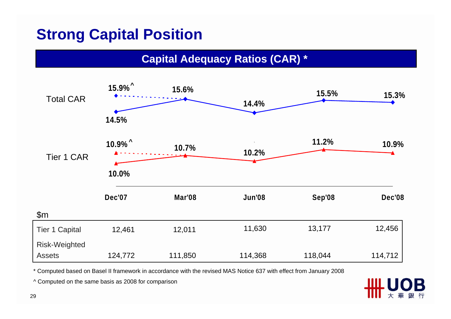# **Strong Capital Position**

**Capital Adequacy Ratios (CAR) \*** 



\* Computed based on Basel II framework in accordance with the revised MAS Notice 637 with effect from January 2008

^ Computed on the same basis as 2008 for comparison

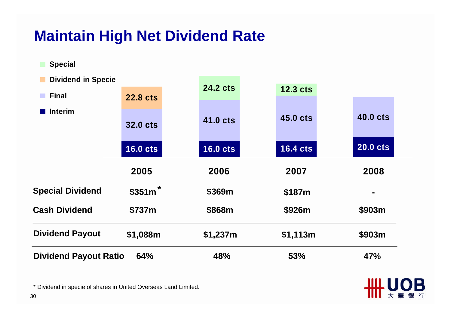### **Maintain High Net Dividend Rate**

**B** Special

| <b>Dividend in Specie</b>    |                 |                 |                 |                 |
|------------------------------|-----------------|-----------------|-----------------|-----------------|
| <b>Final</b>                 | <b>22.8 cts</b> | <b>24.2 cts</b> | <b>12.3 cts</b> |                 |
| <b>n</b> Interim             | <b>32.0 cts</b> | <b>41.0 cts</b> | <b>45.0 cts</b> | <b>40.0 cts</b> |
|                              | <b>16.0 cts</b> | <b>16.0 cts</b> | <b>16.4 cts</b> | <b>20.0 cts</b> |
|                              | 2005            | 2006            | 2007            | 2008            |
| <b>Special Dividend</b>      | $$351m$ *       | \$369m          | \$187m          |                 |
| <b>Cash Dividend</b>         | \$737m          | \$868m          | \$926m          | \$903m          |
| <b>Dividend Payout</b>       | \$1,088m        | \$1,237m        | \$1,113m        | \$903m          |
| <b>Dividend Payout Ratio</b> | 64%             | 48%             | 53%             | 47%             |

#UOB ||| 大華銀行

\* Dividend in specie of shares in United Overseas Land Limited.